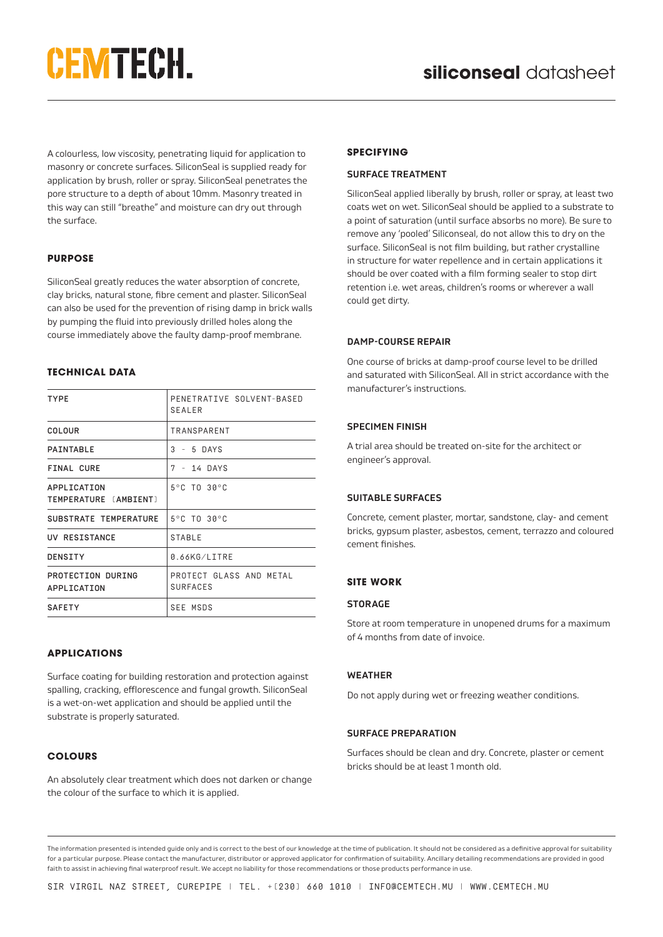# **CEMTECH.**

A colourless, low viscosity, penetrating liquid for application to masonry or concrete surfaces. SiliconSeal is supplied ready for application by brush, roller or spray. SiliconSeal penetrates the pore structure to a depth of about 10mm. Masonry treated in this way can still "breathe" and moisture can dry out through the surface.

#### **PURPOSE**

SiliconSeal greatly reduces the water absorption of concrete, clay bricks, natural stone, fibre cement and plaster. SiliconSeal can also be used for the prevention of rising damp in brick walls by pumping the fluid into previously drilled holes along the course immediately above the faulty damp-proof membrane.

# **TECHNICAL DATA**

| <b>TYPE</b>                          | PENETRATIVE SOLVENT-BASED<br><b>SEALER</b> |  |
|--------------------------------------|--------------------------------------------|--|
| COLOUR                               | TRANSPARENT                                |  |
| PAINTABLE                            | $3 - 5$ DAYS                               |  |
| FINAL CURE                           | 7 - 14 DAYS                                |  |
| APPLICATION<br>TEMPERATURE [AMBIENT] | 5°C TO 30°C                                |  |
| SUBSTRATE TEMPERATURE                | 5°C TO 30°C                                |  |
| UV RESISTANCE                        | <b>STABLE</b>                              |  |
| <b>DENSITY</b>                       | 0.66KG/LITRE                               |  |
| PROTECTION DURING<br>APPLICATION     | PROTECT GLASS AND METAL<br><b>SURFACES</b> |  |
| <b>SAFETY</b>                        | <b>SEE MSDS</b>                            |  |

#### **APPLICATIONS**

Surface coating for building restoration and protection against spalling, cracking, efflorescence and fungal growth. SiliconSeal is a wet-on-wet application and should be applied until the substrate is properly saturated.

#### **COLOURS**

An absolutely clear treatment which does not darken or change the colour of the surface to which it is applied.

# **SPECIFYING**

### **SURFACE TREATMENT**

SiliconSeal applied liberally by brush, roller or spray, at least two coats wet on wet. SiliconSeal should be applied to a substrate to a point of saturation (until surface absorbs no more). Be sure to remove any 'pooled' Siliconseal, do not allow this to dry on the surface. SiliconSeal is not film building, but rather crystalline in structure for water repellence and in certain applications it should be over coated with a film forming sealer to stop dirt retention i.e. wet areas, children's rooms or wherever a wall could get dirty.

#### **DAMP-COURSE REPAIR**

One course of bricks at damp-proof course level to be drilled and saturated with SiliconSeal. All in strict accordance with the manufacturer's instructions.

#### **SPECIMEN FINISH**

A trial area should be treated on-site for the architect or engineer's approval.

#### **SUITABLE SURFACES**

Concrete, cement plaster, mortar, sandstone, clay- and cement bricks, gypsum plaster, asbestos, cement, terrazzo and coloured cement finishes.

# **SITE WORK**

#### **STORAGE**

Store at room temperature in unopened drums for a maximum of 4 months from date of invoice.

#### **WEATHER**

Do not apply during wet or freezing weather conditions.

#### **SURFACE PREPARATION**

Surfaces should be clean and dry. Concrete, plaster or cement bricks should be at least 1 month old.

The information presented is intended guide only and is correct to the best of our knowledge at the time of publication. It should not be considered as a definitive approval for suitability for a particular purpose. Please contact the manufacturer, distributor or approved applicator for confirmation of suitability. Ancillary detailing recommendations are provided in good faith to assist in achieving final waterproof result. We accept no liability for those recommendations or those products performance in use.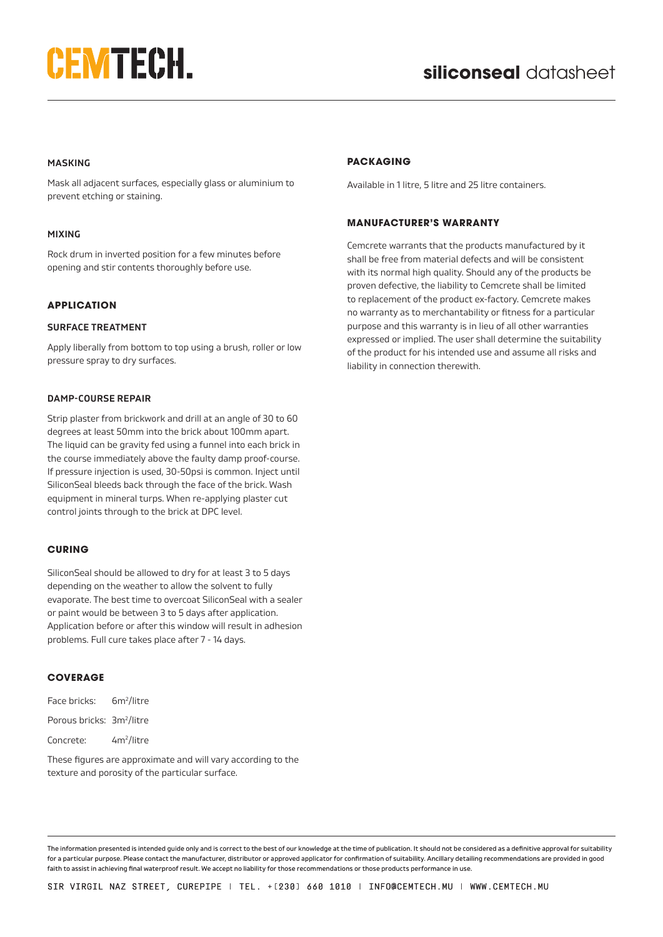# **CEMTECH.**

### **MASKING**

Mask all adjacent surfaces, especially glass or aluminium to prevent etching or staining.

#### **MIXING**

Rock drum in inverted position for a few minutes before opening and stir contents thoroughly before use.

#### **APPLICATION**

#### **SURFACE TREATMENT**

Apply liberally from bottom to top using a brush, roller or low pressure spray to dry surfaces.

#### **DAMP-COURSE REPAIR**

Strip plaster from brickwork and drill at an angle of 30 to 60 degrees at least 50mm into the brick about 100mm apart. The liquid can be gravity fed using a funnel into each brick in the course immediately above the faulty damp proof-course. If pressure injection is used, 30-50psi is common. Inject until SiliconSeal bleeds back through the face of the brick. Wash equipment in mineral turps. When re-applying plaster cut control joints through to the brick at DPC level.

#### **CURING**

SiliconSeal should be allowed to dry for at least 3 to 5 days depending on the weather to allow the solvent to fully evaporate. The best time to overcoat SiliconSeal with a sealer or paint would be between 3 to 5 days after application. Application before or after this window will result in adhesion problems. Full cure takes place after 7 - 14 days.

#### **COVERAGE**

| Face bricks:                          | 6m <sup>2</sup> /litre |
|---------------------------------------|------------------------|
| Porous bricks: 3m <sup>2</sup> /litre |                        |
| Concrete:                             | 4m <sup>2</sup> /litre |

These figures are approximate and will vary according to the texture and porosity of the particular surface.

#### **PACKAGING**

Available in 1 litre, 5 litre and 25 litre containers.

#### **MANUFACTURER'S WARRANTY**

Cemcrete warrants that the products manufactured by it shall be free from material defects and will be consistent with its normal high quality. Should any of the products be proven defective, the liability to Cemcrete shall be limited to replacement of the product ex-factory. Cemcrete makes no warranty as to merchantability or fitness for a particular purpose and this warranty is in lieu of all other warranties expressed or implied. The user shall determine the suitability of the product for his intended use and assume all risks and liability in connection therewith.

The information presented is intended guide only and is correct to the best of our knowledge at the time of publication. It should not be considered as a definitive approval for suitability for a particular purpose. Please contact the manufacturer, distributor or approved applicator for confirmation of suitability. Ancillary detailing recommendations are provided in good faith to assist in achieving final waterproof result. We accept no liability for those recommendations or those products performance in use.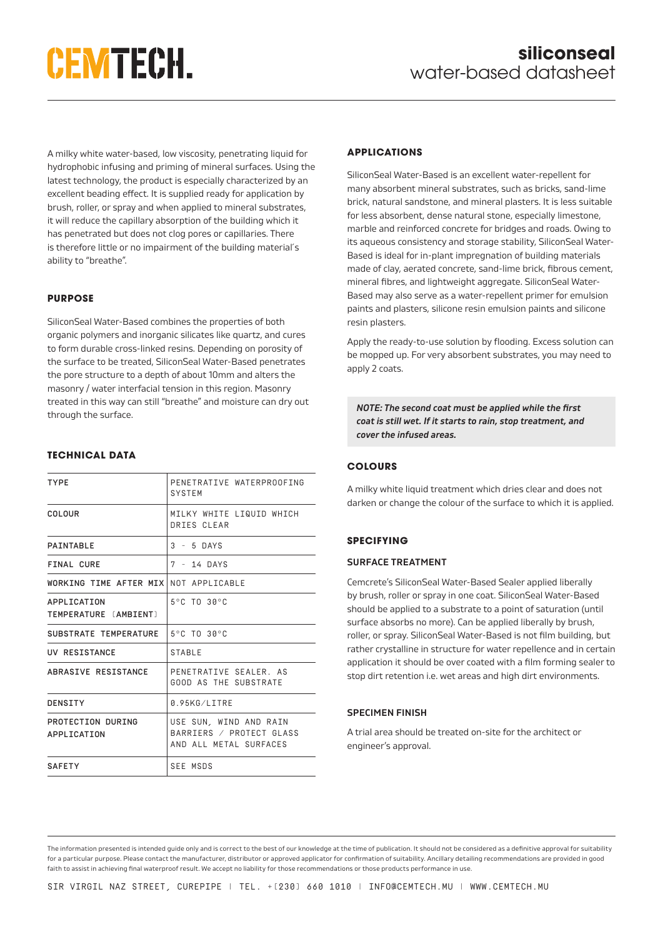# **CEMTECH.**

A milky white water-based, low viscosity, penetrating liquid for hydrophobic infusing and priming of mineral surfaces. Using the latest technology, the product is especially characterized by an excellent beading effect. It is supplied ready for application by brush, roller, or spray and when applied to mineral substrates, it will reduce the capillary absorption of the building which it has penetrated but does not clog pores or capillaries. There is therefore little or no impairment of the building material´s ability to "breathe".

### **PURPOSE**

SiliconSeal Water-Based combines the properties of both organic polymers and inorganic silicates like quartz, and cures to form durable cross-linked resins. Depending on porosity of the surface to be treated, SiliconSeal Water-Based penetrates the pore structure to a depth of about 10mm and alters the masonry / water interfacial tension in this region. Masonry treated in this way can still "breathe" and moisture can dry out through the surface.

# **TECHNICAL DATA** TYPE PENETRATIVE WATERPROOFING SYSTEM COLOUR | MILKY WHITE LIQUID WHICH DRIES CLEAR PAINTABLE  $\begin{vmatrix} 3 & -5 & 0 \end{vmatrix}$   $\begin{vmatrix} 3 & -5 & 0 \end{vmatrix}$ FINAL CURE  $\vert 7 - 14$  DAYS WORKING TIME AFTER MIX NOT APPLICABLE APPLICATION TEMPERATURE (AMBIENT) 5°C TO 30°C SUBSTRATE TEMPERATURE 5°C TO 30°C UV RESISTANCE STABLE ABRASIVE RESISTANCE PENETRATIVE SEALER. AS GOOD AS THE SUBSTRATE DENSITY **0.95KG/LITRE** PROTECTION DURING APPLICATION USE SUN, WIND AND RAIN BARRIERS / PROTECT GLASS AND ALL METAL SURFACES SAFFTY SAFE MSDS

# **APPLICATIONS**

SiliconSeal Water-Based is an excellent water-repellent for many absorbent mineral substrates, such as bricks, sand-lime brick, natural sandstone, and mineral plasters. It is less suitable for less absorbent, dense natural stone, especially limestone, marble and reinforced concrete for bridges and roads. Owing to its aqueous consistency and storage stability, SiliconSeal Water-Based is ideal for in-plant impregnation of building materials made of clay, aerated concrete, sand-lime brick, fibrous cement, mineral fibres, and lightweight aggregate. SiliconSeal Water-Based may also serve as a water-repellent primer for emulsion paints and plasters, silicone resin emulsion paints and silicone resin plasters.

Apply the ready-to-use solution by flooding. Excess solution can be mopped up. For very absorbent substrates, you may need to apply 2 coats.

*NOTE: The second coat must be applied while the first coat is still wet. If it starts to rain, stop treatment, and cover the infused areas.*

### **COLOURS**

A milky white liquid treatment which dries clear and does not darken or change the colour of the surface to which it is applied.

# **SPECIFYING**

#### **SURFACE TREATMENT**

Cemcrete's SiliconSeal Water-Based Sealer applied liberally by brush, roller or spray in one coat. SiliconSeal Water-Based should be applied to a substrate to a point of saturation (until surface absorbs no more). Can be applied liberally by brush, roller, or spray. SiliconSeal Water-Based is not film building, but rather crystalline in structure for water repellence and in certain application it should be over coated with a film forming sealer to stop dirt retention i.e. wet areas and high dirt environments.

# **SPECIMEN FINISH**

A trial area should be treated on-site for the architect or engineer's approval.

The information presented is intended guide only and is correct to the best of our knowledge at the time of publication. It should not be considered as a definitive approval for suitability for a particular purpose. Please contact the manufacturer, distributor or approved applicator for confirmation of suitability. Ancillary detailing recommendations are provided in good faith to assist in achieving final waterproof result. We accept no liability for those recommendations or those products performance in use.